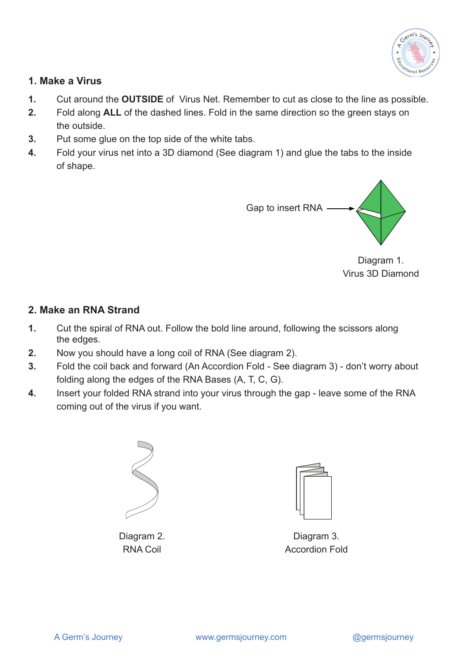

## **1. Make a Virus**

- **1.** Cut around the **OUTSIDE** of Virus Net. Remember to cut as close to the line as possible.
- **2.** Fold along **ALL** of the dashed lines. Fold in the same direction so the green stays on the outside.
- **3.** Put some glue on the top side of the white tabs.
- **4.** Fold your virus net into a 3D diamond (See diagram 1) and glue the tabs to the inside of shape.



Diagram 1. Virus 3D Diamond

## **2. Make an RNA Strand**

- **1.** Cut the spiral of RNA out. Follow the bold line around, following the scissors along the edges.
- **2.** Now you should have a long coil of RNA (See diagram 2).
- **3.** Fold the coil back and forward (An Accordion Fold See diagram 3) don't worry about folding along the edges of the RNA Bases (A, T, C, G).
- **4.** Insert your folded RNA strand into your virus through the gap leave some of the RNA coming out of the virus if you want.



Diagram 2. RNA Coil



Diagram 3. Accordion Fold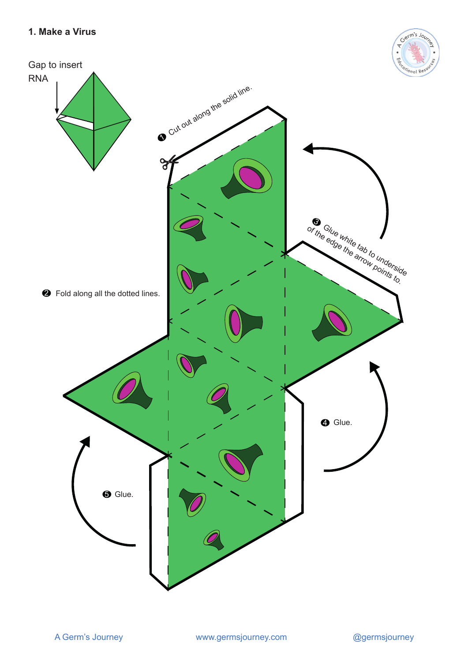